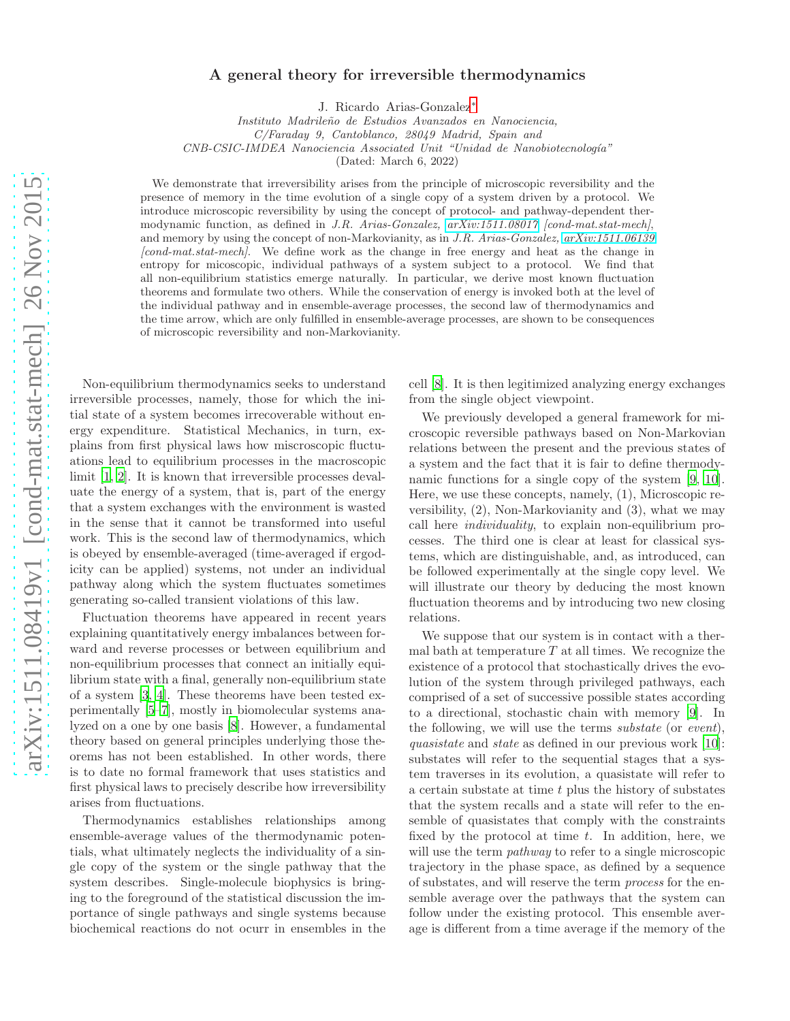## A general theory for irreversible thermodynamics

J. Ricardo Arias-Gonzalez[∗](#page-6-0)

*Instituto Madrile˜no de Estudios Avanzados en Nanociencia,*

*C/Faraday 9, Cantoblanco, 28049 Madrid, Spain and*

*CNB-CSIC-IMDEA Nanociencia Associated Unit "Unidad de Nanobiotecnolog´ıa"*

(Dated: March 6, 2022)

We demonstrate that irreversibility arises from the principle of microscopic reversibility and the presence of memory in the time evolution of a single copy of a system driven by a protocol. We introduce microscopic reversibility by using the concept of protocol- and pathway-dependent thermodynamic function, as defined in *J.R. Arias-Gonzalez, [arXiv:1511.08017](http://arxiv.org/abs/1511.08017) [cond-mat.stat-mech]*, and memory by using the concept of non-Markovianity, as in *J.R. Arias-Gonzalez, [arXiv:1511.06139](http://arxiv.org/abs/1511.06139) [cond-mat.stat-mech]*. We define work as the change in free energy and heat as the change in entropy for micoscopic, individual pathways of a system subject to a protocol. We find that all non-equilibrium statistics emerge naturally. In particular, we derive most known fluctuation theorems and formulate two others. While the conservation of energy is invoked both at the level of the individual pathway and in ensemble-average processes, the second law of thermodynamics and the time arrow, which are only fulfilled in ensemble-average processes, are shown to be consequences of microscopic reversibility and non-Markovianity.

Non-equilibrium thermodynamics seeks to understand irreversible processes, namely, those for which the initial state of a system becomes irrecoverable without energy expenditure. Statistical Mechanics, in turn, explains from first physical laws how miscroscopic fluctuations lead to equilibrium processes in the macroscopic limit [\[1](#page-6-1), [2](#page-6-2)]. It is known that irreversible processes devaluate the energy of a system, that is, part of the energy that a system exchanges with the environment is wasted in the sense that it cannot be transformed into useful work. This is the second law of thermodynamics, which is obeyed by ensemble-averaged (time-averaged if ergodicity can be applied) systems, not under an individual pathway along which the system fluctuates sometimes generating so-called transient violations of this law.

Fluctuation theorems have appeared in recent years explaining quantitatively energy imbalances between forward and reverse processes or between equilibrium and non-equilibrium processes that connect an initially equilibrium state with a final, generally non-equilibrium state of a system [\[3](#page-6-3), [4\]](#page-6-4). These theorems have been tested experimentally [\[5](#page-6-5)[–7\]](#page-6-6), mostly in biomolecular systems analyzed on a one by one basis [\[8\]](#page-6-7). However, a fundamental theory based on general principles underlying those theorems has not been established. In other words, there is to date no formal framework that uses statistics and first physical laws to precisely describe how irreversibility arises from fluctuations.

Thermodynamics establishes relationships among ensemble-average values of the thermodynamic potentials, what ultimately neglects the individuality of a single copy of the system or the single pathway that the system describes. Single-molecule biophysics is bringing to the foreground of the statistical discussion the importance of single pathways and single systems because biochemical reactions do not ocurr in ensembles in the

cell [\[8](#page-6-7)]. It is then legitimized analyzing energy exchanges from the single object viewpoint.

We previously developed a general framework for microscopic reversible pathways based on Non-Markovian relations between the present and the previous states of a system and the fact that it is fair to define thermodynamic functions for a single copy of the system [\[9,](#page-6-8) [10\]](#page-6-9). Here, we use these concepts, namely, (1), Microscopic reversibility, (2), Non-Markovianity and (3), what we may call here individuality, to explain non-equilibrium processes. The third one is clear at least for classical systems, which are distinguishable, and, as introduced, can be followed experimentally at the single copy level. We will illustrate our theory by deducing the most known fluctuation theorems and by introducing two new closing relations.

We suppose that our system is in contact with a thermal bath at temperature  $T$  at all times. We recognize the existence of a protocol that stochastically drives the evolution of the system through privileged pathways, each comprised of a set of successive possible states according to a directional, stochastic chain with memory [\[9\]](#page-6-8). In the following, we will use the terms substate (or event), quasistate and state as defined in our previous work [\[10\]](#page-6-9): substates will refer to the sequential stages that a system traverses in its evolution, a quasistate will refer to a certain substate at time t plus the history of substates that the system recalls and a state will refer to the ensemble of quasistates that comply with the constraints fixed by the protocol at time  $t$ . In addition, here, we will use the term *pathway* to refer to a single microscopic trajectory in the phase space, as defined by a sequence of substates, and will reserve the term process for the ensemble average over the pathways that the system can follow under the existing protocol. This ensemble average is different from a time average if the memory of the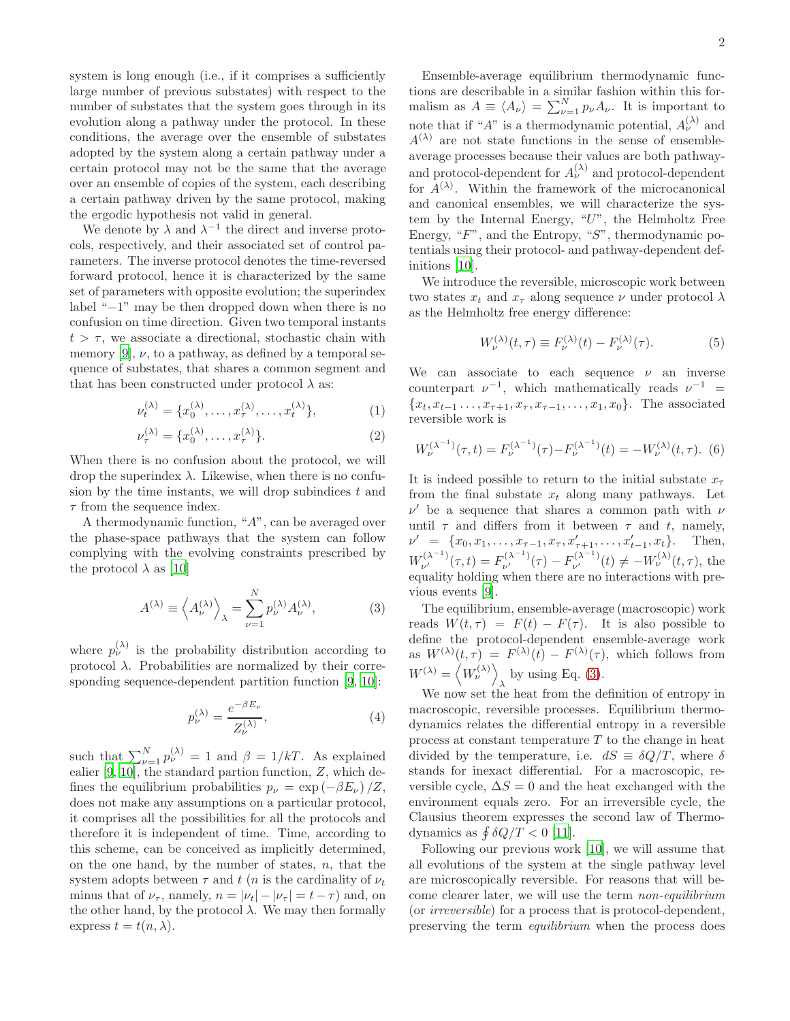system is long enough (i.e., if it comprises a sufficiently large number of previous substates) with respect to the number of substates that the system goes through in its evolution along a pathway under the protocol. In these conditions, the average over the ensemble of substates adopted by the system along a certain pathway under a certain protocol may not be the same that the average over an ensemble of copies of the system, each describing a certain pathway driven by the same protocol, making the ergodic hypothesis not valid in general.

We denote by  $\lambda$  and  $\lambda^{-1}$  the direct and inverse protocols, respectively, and their associated set of control parameters. The inverse protocol denotes the time-reversed forward protocol, hence it is characterized by the same set of parameters with opposite evolution; the superindex label "−1" may be then dropped down when there is no confusion on time direction. Given two temporal instants  $t > \tau$ , we associate a directional, stochastic chain with memory [\[9\]](#page-6-8),  $\nu$ , to a pathway, as defined by a temporal sequence of substates, that shares a common segment and that has been constructed under protocol  $\lambda$  as:

<span id="page-1-1"></span>
$$
\nu_t^{(\lambda)} = \{x_0^{(\lambda)}, \dots, x_\tau^{(\lambda)}, \dots, x_t^{(\lambda)}\},\tag{1}
$$

$$
\nu_{\tau}^{(\lambda)} = \{x_0^{(\lambda)}, \dots, x_{\tau}^{(\lambda)}\}.
$$
 (2)

When there is no confusion about the protocol, we will drop the superindex  $\lambda$ . Likewise, when there is no confusion by the time instants, we will drop subindices  $t$  and  $\tau$  from the sequence index.

A thermodynamic function, "A", can be averaged over the phase-space pathways that the system can follow complying with the evolving constraints prescribed by the protocol  $\lambda$  as [\[10](#page-6-9)]

<span id="page-1-0"></span>
$$
A^{(\lambda)} \equiv \left\langle A_{\nu}^{(\lambda)} \right\rangle_{\lambda} = \sum_{\nu=1}^{N} p_{\nu}^{(\lambda)} A_{\nu}^{(\lambda)}, \tag{3}
$$

where  $p_{\nu}^{(\lambda)}$  is the probability distribution according to protocol  $\lambda$ . Probabilities are normalized by their corresponding sequence-dependent partition function [\[9](#page-6-8), [10](#page-6-9)]:

$$
p_{\nu}^{(\lambda)} = \frac{e^{-\beta E_{\nu}}}{Z_{\nu}^{(\lambda)}},\tag{4}
$$

such that  $\sum_{\nu=1}^{N} p_{\nu}^{(\lambda)} = 1$  and  $\beta = 1/kT$ . As explained ealier  $[9, 10]$  $[9, 10]$  $[9, 10]$ , the standard partion function,  $Z$ , which defines the equilibrium probabilities  $p_{\nu} = \exp(-\beta E_{\nu})/Z$ , does not make any assumptions on a particular protocol, it comprises all the possibilities for all the protocols and therefore it is independent of time. Time, according to this scheme, can be conceived as implicitly determined, on the one hand, by the number of states,  $n$ , that the system adopts between  $\tau$  and t (n is the cardinality of  $\nu_t$ minus that of  $\nu_{\tau}$ , namely,  $n = |\nu_t| - |\nu_{\tau}| = t - \tau$ ) and, on the other hand, by the protocol  $\lambda$ . We may then formally express  $t = t(n, \lambda)$ .

Ensemble-average equilibrium thermodynamic functions are describable in a similar fashion within this formalism as  $A \equiv \langle A_{\nu} \rangle = \sum_{\nu=1}^{N} p_{\nu} A_{\nu}$ . It is important to note that if " $A$ " is a thermodynamic potential,  $A_{\nu}^{(\lambda)}$  and  $A^{(\lambda)}$  are not state functions in the sense of ensembleaverage processes because their values are both pathwayand protocol-dependent for  $A_{\nu}^{(\lambda)}$  and protocol-dependent for  $A^{(\lambda)}$ . Within the framework of the microcanonical and canonical ensembles, we will characterize the system by the Internal Energy, "U", the Helmholtz Free Energy, " $F$ ", and the Entropy, " $S$ ", thermodynamic potentials using their protocol- and pathway-dependent definitions [\[10](#page-6-9)].

We introduce the reversible, microscopic work between two states  $x_t$  and  $x_\tau$  along sequence  $\nu$  under protocol  $\lambda$ as the Helmholtz free energy difference:

<span id="page-1-2"></span>
$$
W_{\nu}^{(\lambda)}(t,\tau) \equiv F_{\nu}^{(\lambda)}(t) - F_{\nu}^{(\lambda)}(\tau). \tag{5}
$$

We can associate to each sequence  $\nu$  an inverse counterpart  $\nu^{-1}$ , which mathematically reads  $\nu^{-1}$  =  ${x_t, x_{t-1}, \ldots, x_{\tau+1}, x_{\tau}, x_{\tau-1}, \ldots, x_1, x_0}$ . The associated reversible work is

$$
W_{\nu}^{(\lambda^{-1})}(\tau,t) = F_{\nu}^{(\lambda^{-1})}(\tau) - F_{\nu}^{(\lambda^{-1})}(t) = -W_{\nu}^{(\lambda)}(t,\tau). \tag{6}
$$

It is indeed possible to return to the initial substate  $x_{\tau}$ from the final substate  $x_t$  along many pathways. Let  $\nu'$  be a sequence that shares a common path with  $\nu$ until  $\tau$  and differs from it between  $\tau$  and t, namely,  $\nu' = \{x_0, x_1, \ldots, x_{\tau-1}, x_{\tau}, x'_{\tau+1}, \ldots, x'_{t-1}, x_t\}.$  Then,  $W_{\nu'}^{(\lambda^{-1})}(\tau, t) = F_{\nu'}^{(\lambda^{-1})}(\tau) - F_{\nu'}^{(\lambda^{-1})}(t) \neq -W_{\nu}^{(\lambda)}(t, \tau)$ , the equality holding when there are no interactions with previous events [\[9\]](#page-6-8).

The equilibrium, ensemble-average (macroscopic) work reads  $W(t, \tau) = F(t) - F(\tau)$ . It is also possible to define the protocol-dependent ensemble-average work as  $W^{(\lambda)}(t, \tau) = F^{(\lambda)}(t) - F^{(\lambda)}(\tau)$ , which follows from  $W^{(\lambda)}=\left\langle W^{(\lambda)}_{\nu}\right\rangle$  $\lambda$  by using Eq. [\(3\)](#page-1-0).

We now set the heat from the definition of entropy in macroscopic, reversible processes. Equilibrium thermodynamics relates the differential entropy in a reversible process at constant temperature  $T$  to the change in heat divided by the temperature, i.e.  $dS = \delta Q/T$ , where  $\delta$ stands for inexact differential. For a macroscopic, reversible cycle,  $\Delta S = 0$  and the heat exchanged with the environment equals zero. For an irreversible cycle, the Clausius theorem expresses the second law of Thermodynamics as  $\oint \delta Q/T < 0$  [\[11\]](#page-6-10).

Following our previous work [\[10\]](#page-6-9), we will assume that all evolutions of the system at the single pathway level are microscopically reversible. For reasons that will become clearer later, we will use the term non-equilibrium (or irreversible) for a process that is protocol-dependent, preserving the term equilibrium when the process does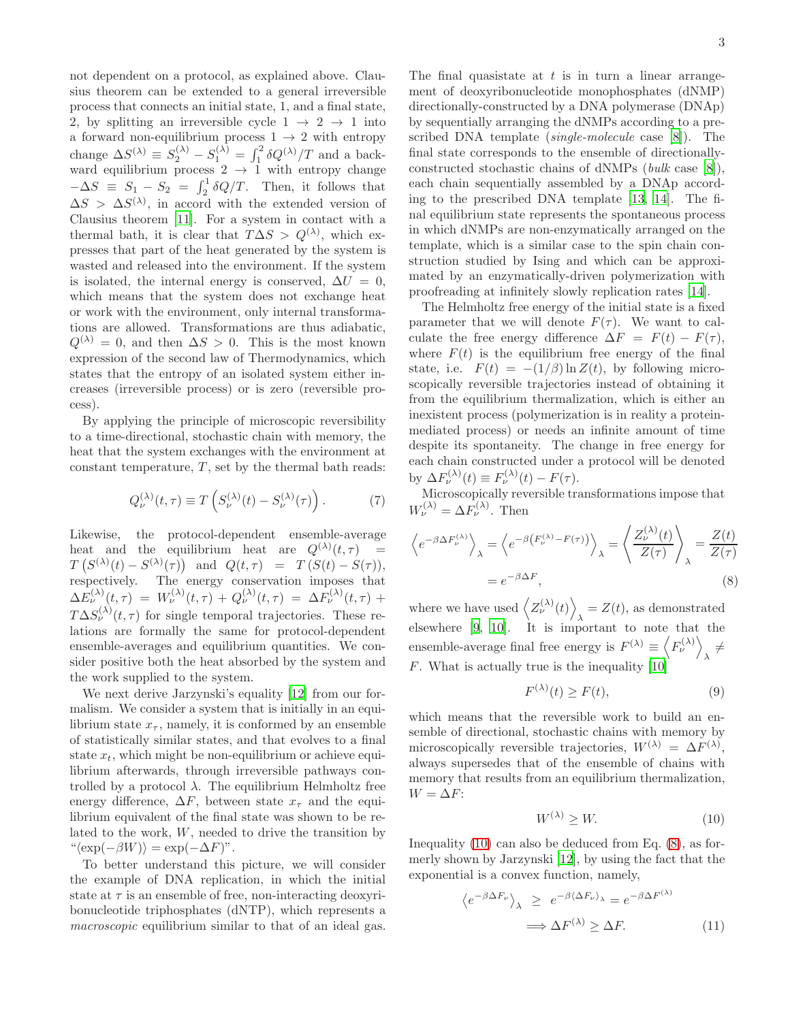not dependent on a protocol, as explained above. Clausius theorem can be extended to a general irreversible process that connects an initial state, 1, and a final state, 2, by splitting an irreversible cycle  $1 \rightarrow 2 \rightarrow 1$  into a forward non-equilibrium process  $1 \rightarrow 2$  with entropy change  $\Delta S^{(\lambda)} \equiv S_2^{(\lambda)} - S_1^{(\lambda)} = \int_1^2 \delta Q^{(\lambda)} / T$  and a backward equilibrium process  $2 \rightarrow 1$  with entropy change  $-\Delta S \equiv S_1 - S_2 = \int_2^1 \delta Q/T$ . Then, it follows that  $\Delta S > \Delta S^{(\lambda)}$ , in accord with the extended version of Clausius theorem [\[11](#page-6-10)]. For a system in contact with a thermal bath, it is clear that  $T\Delta S > Q^{(\lambda)}$ , which expresses that part of the heat generated by the system is wasted and released into the environment. If the system is isolated, the internal energy is conserved,  $\Delta U = 0$ , which means that the system does not exchange heat or work with the environment, only internal transformations are allowed. Transformations are thus adiabatic,  $Q^{(\lambda)} = 0$ , and then  $\Delta S > 0$ . This is the most known expression of the second law of Thermodynamics, which states that the entropy of an isolated system either increases (irreversible process) or is zero (reversible process).

By applying the principle of microscopic reversibility to a time-directional, stochastic chain with memory, the heat that the system exchanges with the environment at constant temperature,  $T$ , set by the thermal bath reads:

<span id="page-2-3"></span>
$$
Q_{\nu}^{(\lambda)}(t,\tau) \equiv T\left(S_{\nu}^{(\lambda)}(t) - S_{\nu}^{(\lambda)}(\tau)\right). \tag{7}
$$

Likewise, the protocol-dependent ensemble-average heat and the equilibrium heat are  $Q^{(\lambda)}(t,\tau)$  =  $T(S^{(\lambda)}(t) - S^{(\lambda)}(\tau))$  and  $Q(t, \tau) = T(S(t) - S(\tau)),$ respectively. The energy conservation imposes that  $\Delta E_\nu^{(\lambda)}(t,\tau) \;=\; W_\nu^{(\lambda)}(t,\tau) \,+\, Q_\nu^{(\lambda)}(t,\tau) \;=\; \Delta F_\nu^{(\lambda)}(t,\tau) \;+\;$  $T\Delta S_{\nu}^{(\lambda)}(t,\tau)$  for single temporal trajectories. These relations are formally the same for protocol-dependent ensemble-averages and equilibrium quantities. We consider positive both the heat absorbed by the system and the work supplied to the system.

We next derive Jarzynski's equality [\[12\]](#page-6-11) from our formalism. We consider a system that is initially in an equilibrium state  $x_{\tau}$ , namely, it is conformed by an ensemble of statistically similar states, and that evolves to a final state  $x_t$ , which might be non-equilibrium or achieve equilibrium afterwards, through irreversible pathways controlled by a protocol  $\lambda$ . The equilibrium Helmholtz free energy difference,  $\Delta F$ , between state  $x<sub>\tau</sub>$  and the equilibrium equivalent of the final state was shown to be related to the work, W, needed to drive the transition by  $"\langle \exp(-\beta W) \rangle = \exp(-\Delta F)$ ".

To better understand this picture, we will consider the example of DNA replication, in which the initial state at  $\tau$  is an ensemble of free, non-interacting deoxyribonucleotide triphosphates (dNTP), which represents a macroscopic equilibrium similar to that of an ideal gas.

The final quasistate at  $t$  is in turn a linear arrangement of deoxyribonucleotide monophosphates (dNMP) directionally-constructed by a DNA polymerase (DNAp) by sequentially arranging the dNMPs according to a prescribed DNA template (single-molecule case [\[8\]](#page-6-7)). The final state corresponds to the ensemble of directionallyconstructed stochastic chains of dNMPs (bulk case [\[8\]](#page-6-7)), each chain sequentially assembled by a DNAp according to the prescribed DNA template [\[13,](#page-6-12) [14](#page-6-13)]. The final equilibrium state represents the spontaneous process in which dNMPs are non-enzymatically arranged on the template, which is a similar case to the spin chain construction studied by Ising and which can be approximated by an enzymatically-driven polymerization with proofreading at infinitely slowly replication rates [\[14\]](#page-6-13).

The Helmholtz free energy of the initial state is a fixed parameter that we will denote  $F(\tau)$ . We want to calculate the free energy difference  $\Delta F = F(t) - F(\tau)$ , where  $F(t)$  is the equilibrium free energy of the final state, i.e.  $F(t) = -(1/\beta) \ln Z(t)$ , by following microscopically reversible trajectories instead of obtaining it from the equilibrium thermalization, which is either an inexistent process (polymerization is in reality a proteinmediated process) or needs an infinite amount of time despite its spontaneity. The change in free energy for each chain constructed under a protocol will be denoted by  $\Delta F_{\nu}^{(\lambda)}(t) \equiv F_{\nu}^{(\lambda)}(t) - F(\tau)$ .

Microscopically reversible transformations impose that  $W_{\nu}^{(\lambda)} = \Delta F_{\nu}^{(\lambda)}$ . Then

<span id="page-2-1"></span>
$$
\left\langle e^{-\beta \Delta F_{\nu}^{(\lambda)}} \right\rangle_{\lambda} = \left\langle e^{-\beta \left( F_{\nu}^{(\lambda)} - F(\tau) \right)} \right\rangle_{\lambda} = \left\langle \frac{Z_{\nu}^{(\lambda)}(t)}{Z(\tau)} \right\rangle_{\lambda} = \frac{Z(t)}{Z(\tau)}
$$
\n
$$
= e^{-\beta \Delta F}, \tag{8}
$$

where we have used  $\langle Z_{\nu}^{(\lambda)}(t) \rangle$  $\lambda = Z(t)$ , as demonstrated elsewhere [\[9,](#page-6-8) [10\]](#page-6-9). It is important to note that the ensemble-average final free energy is  $F^{(\lambda)} \equiv \langle F_{\nu}^{(\lambda)} \rangle$  $\lambda \neq$ F. What is actually true is the inequality [\[10](#page-6-9)]

$$
F^{(\lambda)}(t) \ge F(t),\tag{9}
$$

which means that the reversible work to build an ensemble of directional, stochastic chains with memory by microscopically reversible trajectories,  $W^{(\lambda)} = \Delta F^{(\lambda)}$ , always supersedes that of the ensemble of chains with memory that results from an equilibrium thermalization,  $W = \Delta F$ :

<span id="page-2-0"></span>
$$
W^{(\lambda)} \ge W.\tag{10}
$$

Inequality [\(10\)](#page-2-0) can also be deduced from Eq. [\(8\)](#page-2-1), as formerly shown by Jarzynski [\[12](#page-6-11)], by using the fact that the exponential is a convex function, namely,

<span id="page-2-2"></span>
$$
\langle e^{-\beta \Delta F_{\nu}} \rangle_{\lambda} \ge e^{-\beta \langle \Delta F_{\nu} \rangle_{\lambda}} = e^{-\beta \Delta F^{(\lambda)}}
$$
  

$$
\implies \Delta F^{(\lambda)} \ge \Delta F.
$$
 (11)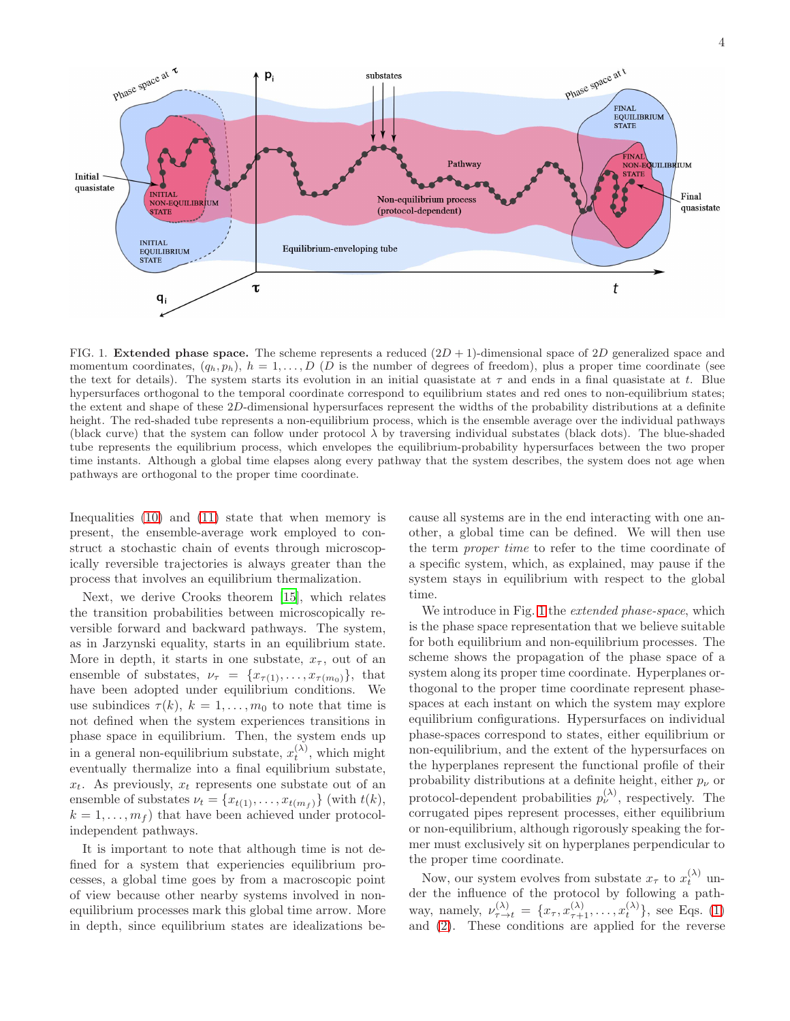

<span id="page-3-0"></span>FIG. 1. **Extended phase space.** The scheme represents a reduced  $(2D + 1)$ -dimensional space of 2D generalized space and momentum coordinates,  $(q_h, p_h)$ ,  $h = 1, \ldots, D$  (D is the number of degrees of freedom), plus a proper time coordinate (see the text for details). The system starts its evolution in an initial quasistate at  $\tau$  and ends in a final quasistate at t. Blue hypersurfaces orthogonal to the temporal coordinate correspond to equilibrium states and red ones to non-equilibrium states; the extent and shape of these 2D-dimensional hypersurfaces represent the widths of the probability distributions at a definite height. The red-shaded tube represents a non-equilibrium process, which is the ensemble average over the individual pathways (black curve) that the system can follow under protocol  $\lambda$  by traversing individual substates (black dots). The blue-shaded tube represents the equilibrium process, which envelopes the equilibrium-probability hypersurfaces between the two proper time instants. Although a global time elapses along every pathway that the system describes, the system does not age when pathways are orthogonal to the proper time coordinate.

Inequalities [\(10\)](#page-2-0) and [\(11\)](#page-2-2) state that when memory is present, the ensemble-average work employed to construct a stochastic chain of events through microscopically reversible trajectories is always greater than the process that involves an equilibrium thermalization.

Next, we derive Crooks theorem [\[15\]](#page-7-0), which relates the transition probabilities between microscopically reversible forward and backward pathways. The system, as in Jarzynski equality, starts in an equilibrium state. More in depth, it starts in one substate,  $x_{\tau}$ , out of an ensemble of substates,  $\nu_{\tau} = \{x_{\tau(1)}, \ldots, x_{\tau(m_0)}\},\$  that have been adopted under equilibrium conditions. We use subindices  $\tau(k)$ ,  $k = 1, \ldots, m_0$  to note that time is not defined when the system experiences transitions in phase space in equilibrium. Then, the system ends up in a general non-equilibrium substate,  $x_t^{(\lambda)}$ , which might eventually thermalize into a final equilibrium substate,  $x_t$ . As previously,  $x_t$  represents one substate out of an ensemble of substates  $\nu_t = \{x_{t(1)}, \ldots, x_{t(m_f)}\}$  (with  $t(k)$ ,  $k = 1, \ldots, m<sub>f</sub>$  that have been achieved under protocolindependent pathways.

It is important to note that although time is not defined for a system that experiencies equilibrium processes, a global time goes by from a macroscopic point of view because other nearby systems involved in nonequilibrium processes mark this global time arrow. More in depth, since equilibrium states are idealizations be-

cause all systems are in the end interacting with one another, a global time can be defined. We will then use the term proper time to refer to the time coordinate of a specific system, which, as explained, may pause if the system stays in equilibrium with respect to the global time.

We introduce in Fig. [1](#page-3-0) the *extended phase-space*, which is the phase space representation that we believe suitable for both equilibrium and non-equilibrium processes. The scheme shows the propagation of the phase space of a system along its proper time coordinate. Hyperplanes orthogonal to the proper time coordinate represent phasespaces at each instant on which the system may explore equilibrium configurations. Hypersurfaces on individual phase-spaces correspond to states, either equilibrium or non-equilibrium, and the extent of the hypersurfaces on the hyperplanes represent the functional profile of their probability distributions at a definite height, either  $p_{\nu}$  or protocol-dependent probabilities  $p_{\nu}^{(\lambda)}$ , respectively. The corrugated pipes represent processes, either equilibrium or non-equilibrium, although rigorously speaking the former must exclusively sit on hyperplanes perpendicular to the proper time coordinate.

Now, our system evolves from substate  $x_{\tau}$  to  $x_t^{(\lambda)}$  under the influence of the protocol by following a pathway, namely,  $\nu_{\tau \to t}^{(\lambda)} = \{x_{\tau}, x_{\tau+1}^{(\lambda)}, \ldots, x_t^{(\lambda)}\},\$  see Eqs. [\(1\)](#page-1-1) and [\(2\)](#page-1-1). These conditions are applied for the reverse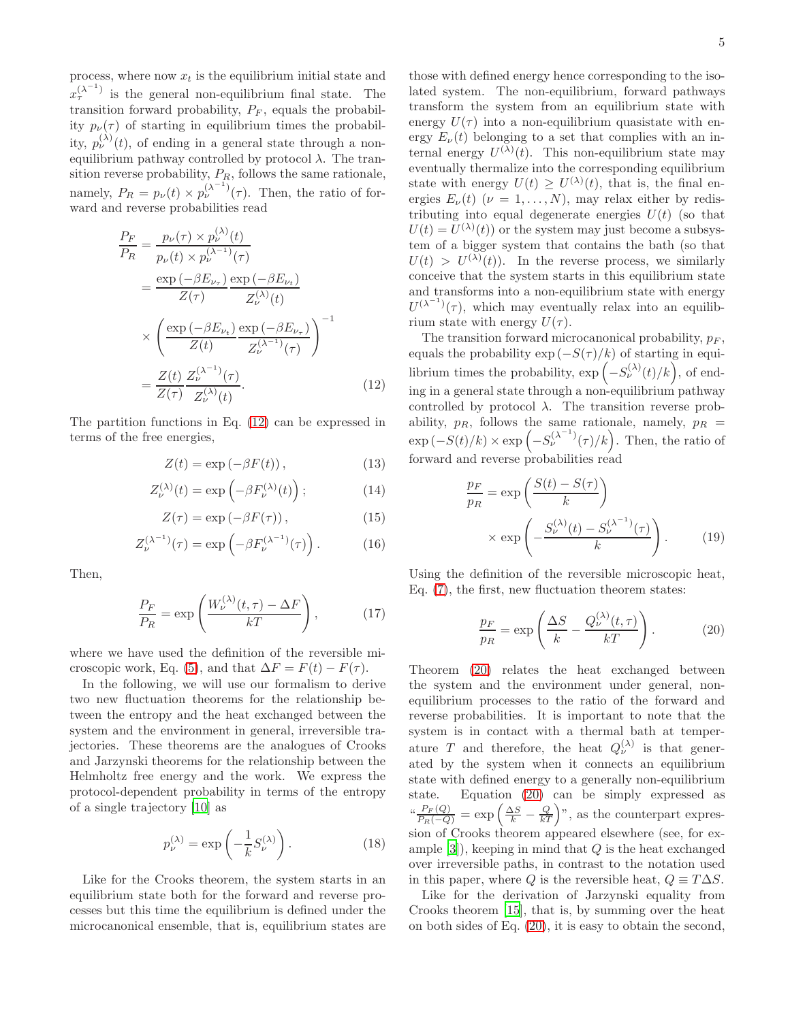process, where now  $x_t$  is the equilibrium initial state and  $x_{\tau}^{(\lambda^{-1})}$  is the general non-equilibrium final state. The transition forward probability,  $P_F$ , equals the probability  $p_{\nu}(\tau)$  of starting in equilibrium times the probability,  $p_{\nu}^{(\lambda)}(t)$ , of ending in a general state through a nonequilibrium pathway controlled by protocol  $\lambda$ . The transition reverse probability,  $P_R$ , follows the same rationale, namely,  $P_R = p_{\nu}(t) \times p_{\nu}^{(\lambda-1)}(\tau)$ . Then, the ratio of forward and reverse probabilities read

<span id="page-4-0"></span>
$$
\frac{P_F}{P_R} = \frac{p_\nu(\tau) \times p_\nu^{(\lambda)}(t)}{p_\nu(t) \times p_\nu^{(\lambda^{-1})}(\tau)}
$$
\n
$$
= \frac{\exp\left(-\beta E_{\nu_\tau}\right)}{Z(\tau)} \frac{\exp\left(-\beta E_{\nu_t}\right)}{Z_\nu^{(\lambda)}(t)}
$$
\n
$$
\times \left(\frac{\exp\left(-\beta E_{\nu_t}\right)}{Z(t)} \frac{\exp\left(-\beta E_{\nu_\tau}\right)}{Z_\nu^{(\lambda^{-1})}(\tau)}\right)^{-1}
$$
\n
$$
= \frac{Z(t)}{Z(\tau)} \frac{Z_\nu^{(\lambda^{-1})}(\tau)}{Z_\nu^{(\lambda)}(t)}.
$$
\n(12)

The partition functions in Eq. [\(12\)](#page-4-0) can be expressed in terms of the free energies,

$$
Z(t) = \exp(-\beta F(t)), \qquad (13)
$$

$$
Z_{\nu}^{(\lambda)}(t) = \exp\left(-\beta F_{\nu}^{(\lambda)}(t)\right); \tag{14}
$$

$$
Z(\tau) = \exp(-\beta F(\tau)), \qquad (15)
$$

$$
Z_{\nu}^{(\lambda^{-1})}(\tau) = \exp\left(-\beta F_{\nu}^{(\lambda^{-1})}(\tau)\right). \tag{16}
$$

Then,

$$
\frac{P_F}{P_R} = \exp\left(\frac{W_\nu^{(\lambda)}(t,\tau) - \Delta F}{kT}\right),\tag{17}
$$

where we have used the definition of the reversible mi-croscopic work, Eq. [\(5\)](#page-1-2), and that  $\Delta F = F(t) - F(\tau)$ .

In the following, we will use our formalism to derive two new fluctuation theorems for the relationship between the entropy and the heat exchanged between the system and the environment in general, irreversible trajectories. These theorems are the analogues of Crooks and Jarzynski theorems for the relationship between the Helmholtz free energy and the work. We express the protocol-dependent probability in terms of the entropy of a single trajectory [\[10\]](#page-6-9) as

$$
p_{\nu}^{(\lambda)} = \exp\left(-\frac{1}{k}S_{\nu}^{(\lambda)}\right). \tag{18}
$$

Like for the Crooks theorem, the system starts in an equilibrium state both for the forward and reverse processes but this time the equilibrium is defined under the microcanonical ensemble, that is, equilibrium states are

those with defined energy hence corresponding to the isolated system. The non-equilibrium, forward pathways transform the system from an equilibrium state with energy  $U(\tau)$  into a non-equilibrium quasistate with energy  $E_{\nu}(t)$  belonging to a set that complies with an internal energy  $U^{(\lambda)}(t)$ . This non-equilibrium state may eventually thermalize into the corresponding equilibrium state with energy  $U(t) \geq U^{(\lambda)}(t)$ , that is, the final energies  $E_{\nu}(t)$  ( $\nu = 1, ..., N$ ), may relax either by redistributing into equal degenerate energies  $U(t)$  (so that  $U(t) = U^{(\lambda)}(t)$  or the system may just become a subsystem of a bigger system that contains the bath (so that  $U(t) > U^{(\lambda)}(t)$ . In the reverse process, we similarly conceive that the system starts in this equilibrium state and transforms into a non-equilibrium state with energy  $U^{(\lambda^{-1})}(\tau)$ , which may eventually relax into an equilibrium state with energy  $U(\tau)$ .

The transition forward microcanonical probability,  $p_F$ , equals the probability  $\exp(-S(\tau)/k)$  of starting in equilibrium times the probability,  $\exp\left(-S_{\nu}^{(\lambda)}(t)/k\right)$ , of ending in a general state through a non-equilibrium pathway controlled by protocol  $\lambda$ . The transition reverse probability,  $p_R$ , follows the same rationale, namely,  $p_R =$  $\exp(-S(t)/k) \times \exp(-S_{\nu}^{(\lambda^{-1})}(\tau)/k)$ . Then, the ratio of forward and reverse probabilities read

$$
\frac{p_F}{p_R} = \exp\left(\frac{S(t) - S(\tau)}{k}\right)
$$

$$
\times \exp\left(-\frac{S_{\nu}^{(\lambda)}(t) - S_{\nu}^{(\lambda^{-1})}(\tau)}{k}\right).
$$
(19)

Using the definition of the reversible microscopic heat, Eq. [\(7\)](#page-2-3), the first, new fluctuation theorem states:

<span id="page-4-1"></span>
$$
\frac{p_F}{p_R} = \exp\left(\frac{\Delta S}{k} - \frac{Q_{\nu}^{(\lambda)}(t,\tau)}{kT}\right). \tag{20}
$$

Theorem [\(20\)](#page-4-1) relates the heat exchanged between the system and the environment under general, nonequilibrium processes to the ratio of the forward and reverse probabilities. It is important to note that the system is in contact with a thermal bath at temperature T and therefore, the heat  $Q_{\nu}^{(\lambda)}$  is that generated by the system when it connects an equilibrium state with defined energy to a generally non-equilibrium state. Equation [\(20\)](#page-4-1) can be simply expressed as  $\frac{d^{2}F_{F}(Q)}{P_{R}(-Q)} = \exp\left(\frac{\Delta S}{k} - \frac{Q}{kT}\right)^{n}$ , as the counterpart expression of Crooks theorem appeared elsewhere (see, for example  $[3]$ , keeping in mind that  $Q$  is the heat exchanged over irreversible paths, in contrast to the notation used in this paper, where Q is the reversible heat,  $Q \equiv T\Delta S$ .

Like for the derivation of Jarzynski equality from Crooks theorem [\[15\]](#page-7-0), that is, by summing over the heat on both sides of Eq. [\(20\)](#page-4-1), it is easy to obtain the second,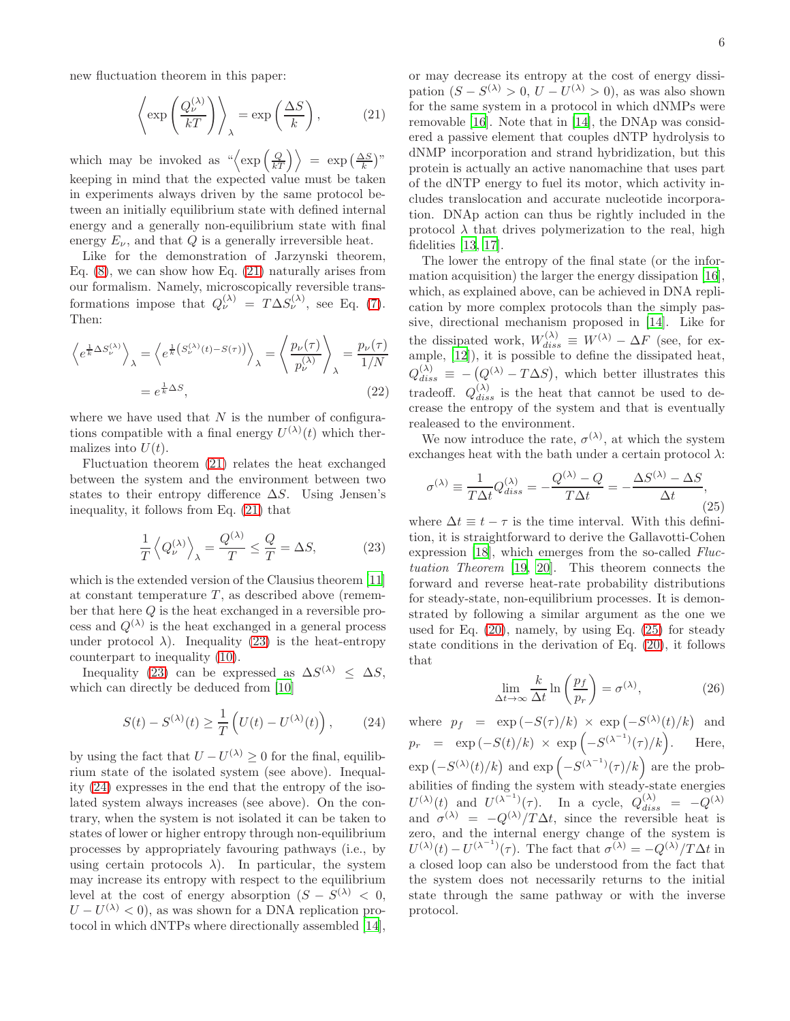new fluctuation theorem in this paper:

<span id="page-5-0"></span>
$$
\left\langle \exp\left(\frac{Q_{\nu}^{(\lambda)}}{kT}\right) \right\rangle_{\lambda} = \exp\left(\frac{\Delta S}{k}\right),\tag{21}
$$

which may be invoked as  $\sqrt[\alpha]{\exp\left(\frac{Q}{kT}\right)} = \exp\left(\frac{\Delta S}{k}\right)$ " keeping in mind that the expected value must be taken in experiments always driven by the same protocol between an initially equilibrium state with defined internal energy and a generally non-equilibrium state with final energy  $E_{\nu}$ , and that Q is a generally irreversible heat.

Like for the demonstration of Jarzynski theorem, Eq.  $(8)$ , we can show how Eq.  $(21)$  naturally arises from our formalism. Namely, microscopically reversible transformations impose that  $Q_{\nu}^{(\lambda)} = T \Delta S_{\nu}^{(\lambda)}$ , see Eq. [\(7\)](#page-2-3). Then:

$$
\left\langle e^{\frac{1}{k}\Delta S_{\nu}^{(\lambda)}} \right\rangle_{\lambda} = \left\langle e^{\frac{1}{k}\left(S_{\nu}^{(\lambda)}(t) - S(\tau)\right)} \right\rangle_{\lambda} = \left\langle \frac{p_{\nu}(\tau)}{p_{\nu}^{(\lambda)}} \right\rangle_{\lambda} = \frac{p_{\nu}(\tau)}{1/N}
$$

$$
= e^{\frac{1}{k}\Delta S}, \tag{22}
$$

where we have used that  $N$  is the number of configurations compatible with a final energy  $U^{(\lambda)}(t)$  which thermalizes into  $U(t)$ .

Fluctuation theorem [\(21\)](#page-5-0) relates the heat exchanged between the system and the environment between two states to their entropy difference  $\Delta S$ . Using Jensen's inequality, it follows from Eq. [\(21\)](#page-5-0) that

<span id="page-5-1"></span>
$$
\frac{1}{T} \left\langle Q_{\nu}^{(\lambda)} \right\rangle_{\lambda} = \frac{Q^{(\lambda)}}{T} \le \frac{Q}{T} = \Delta S,\tag{23}
$$

which is the extended version of the Clausius theorem [\[11](#page-6-10)] at constant temperature  $T$ , as described above (remember that here Q is the heat exchanged in a reversible process and  $Q^{(\lambda)}$  is the heat exchanged in a general process under protocol  $\lambda$ ). Inequality [\(23\)](#page-5-1) is the heat-entropy counterpart to inequality [\(10\)](#page-2-0).

Inequality [\(23\)](#page-5-1) can be expressed as  $\Delta S^{(\lambda)} \leq \Delta S$ , which can directly be deduced from [\[10\]](#page-6-9)

<span id="page-5-2"></span>
$$
S(t) - S^{(\lambda)}(t) \ge \frac{1}{T} \left( U(t) - U^{(\lambda)}(t) \right), \qquad (24)
$$

by using the fact that  $U - U^{(\lambda)} \geq 0$  for the final, equilibrium state of the isolated system (see above). Inequality [\(24\)](#page-5-2) expresses in the end that the entropy of the isolated system always increases (see above). On the contrary, when the system is not isolated it can be taken to states of lower or higher entropy through non-equilibrium processes by appropriately favouring pathways (i.e., by using certain protocols  $\lambda$ ). In particular, the system may increase its entropy with respect to the equilibrium level at the cost of energy absorption  $(S - S^{(\lambda)} < 0,$  $U-U^{(\lambda)} < 0$ , as was shown for a DNA replication protocol in which dNTPs where directionally assembled [\[14\]](#page-6-13),

or may decrease its entropy at the cost of energy dissipation  $(S - S^{(\lambda)} > 0, U - U^{(\lambda)} > 0)$ , as was also shown for the same system in a protocol in which dNMPs were removable [\[16\]](#page-7-1). Note that in [\[14\]](#page-6-13), the DNAp was considered a passive element that couples dNTP hydrolysis to dNMP incorporation and strand hybridization, but this protein is actually an active nanomachine that uses part of the dNTP energy to fuel its motor, which activity includes translocation and accurate nucleotide incorporation. DNAp action can thus be rightly included in the

fidelities [\[13](#page-6-12), [17](#page-7-2)]. The lower the entropy of the final state (or the information acquisition) the larger the energy dissipation [\[16\]](#page-7-1), which, as explained above, can be achieved in DNA replication by more complex protocols than the simply passive, directional mechanism proposed in [\[14](#page-6-13)]. Like for the dissipated work,  $W_{diss}^{(\lambda)} \equiv W^{(\lambda)} - \Delta F$  (see, for example, [\[12](#page-6-11)]), it is possible to define the dissipated heat,  $Q_{diss}^{(\lambda)} \equiv -\left(Q^{(\lambda)} - T\Delta S\right)$ , which better illustrates this tradeoff.  $Q_{diss}^{(\lambda)}$  is the heat that cannot be used to decrease the entropy of the system and that is eventually realeased to the environment.

protocol  $\lambda$  that drives polymerization to the real, high

We now introduce the rate,  $\sigma^{(\lambda)}$ , at which the system exchanges heat with the bath under a certain protocol  $\lambda$ :

<span id="page-5-3"></span>
$$
\sigma^{(\lambda)} \equiv \frac{1}{T\Delta t} Q^{(\lambda)}_{diss} = -\frac{Q^{(\lambda)} - Q}{T\Delta t} = -\frac{\Delta S^{(\lambda)} - \Delta S}{\Delta t},
$$
\n(25)

where  $\Delta t \equiv t - \tau$  is the time interval. With this definition, it is straightforward to derive the Gallavotti-Cohen expression [\[18\]](#page-7-3), which emerges from the so-called Fluctuation Theorem [\[19,](#page-7-4) [20](#page-7-5)]. This theorem connects the forward and reverse heat-rate probability distributions for steady-state, non-equilibrium processes. It is demonstrated by following a similar argument as the one we used for Eq. [\(20\)](#page-4-1), namely, by using Eq. [\(25\)](#page-5-3) for steady state conditions in the derivation of Eq. [\(20\)](#page-4-1), it follows that

$$
\lim_{\Delta t \to \infty} \frac{k}{\Delta t} \ln \left( \frac{p_f}{p_r} \right) = \sigma^{(\lambda)},\tag{26}
$$

where  $p_f = \exp(-S(\tau)/k) \times \exp(-S^{(\lambda)}(t)/k)$  and  $p_r = \exp(-S(t)/k) \times \exp(-S^{(\lambda^{-1})}(\tau)/k)$ . Here,  $\exp(-S^{(\lambda)}(t)/k)$  and  $\exp(-S^{(\lambda^{-1})}(\tau)/k)$  are the probabilities of finding the system with steady-state energies  $U^{(\lambda)}(t)$  and  $U^{(\lambda^{-1})}(\tau)$ . In a cycle,  $Q_{diss}^{(\lambda)} = -Q^{(\lambda)}$ and  $\sigma^{(\lambda)} = -Q^{(\lambda)}/T\Delta t$ , since the reversible heat is zero, and the internal energy change of the system is  $U^{(\lambda)}(t) - U^{(\lambda^{-1})}(\tau)$ . The fact that  $\sigma^{(\lambda)} = -Q^{(\lambda)}/T\Delta t$  in a closed loop can also be understood from the fact that the system does not necessarily returns to the initial state through the same pathway or with the inverse protocol.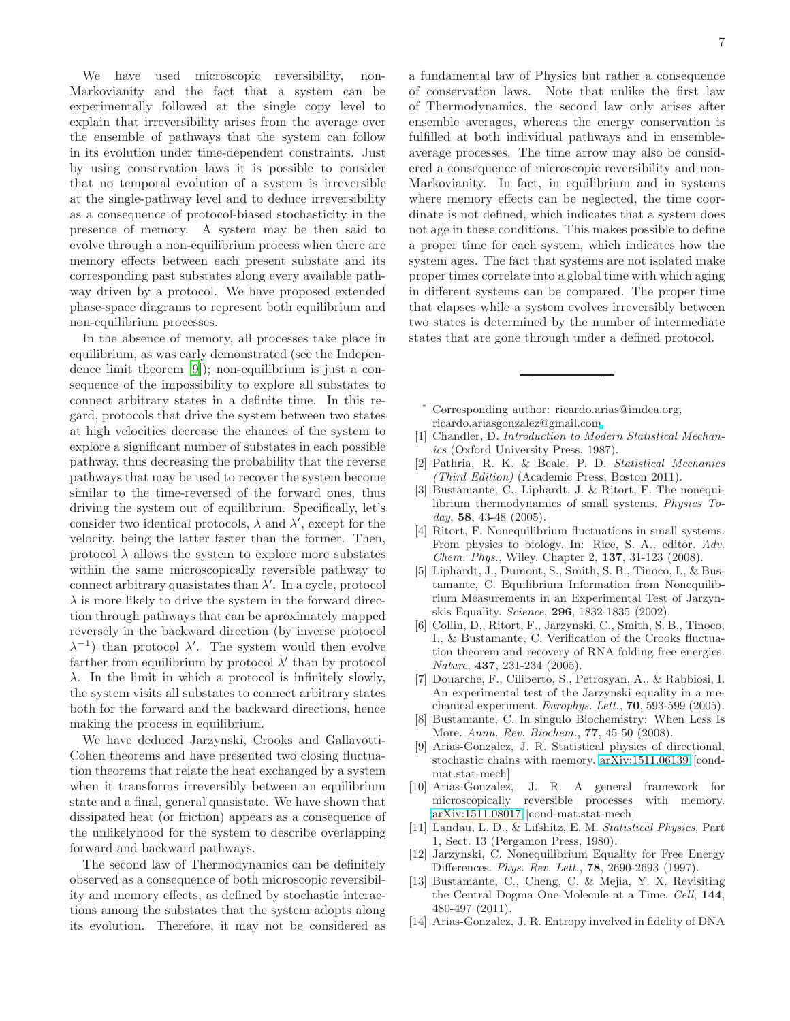We have used microscopic reversibility, non-Markovianity and the fact that a system can be experimentally followed at the single copy level to explain that irreversibility arises from the average over the ensemble of pathways that the system can follow in its evolution under time-dependent constraints. Just by using conservation laws it is possible to consider that no temporal evolution of a system is irreversible at the single-pathway level and to deduce irreversibility as a consequence of protocol-biased stochasticity in the presence of memory. A system may be then said to evolve through a non-equilibrium process when there are memory effects between each present substate and its corresponding past substates along every available pathway driven by a protocol. We have proposed extended phase-space diagrams to represent both equilibrium and non-equilibrium processes.

In the absence of memory, all processes take place in equilibrium, as was early demonstrated (see the Independence limit theorem [\[9](#page-6-8)]); non-equilibrium is just a consequence of the impossibility to explore all substates to connect arbitrary states in a definite time. In this regard, protocols that drive the system between two states at high velocities decrease the chances of the system to explore a significant number of substates in each possible pathway, thus decreasing the probability that the reverse pathways that may be used to recover the system become similar to the time-reversed of the forward ones, thus driving the system out of equilibrium. Specifically, let's consider two identical protocols,  $\lambda$  and  $\lambda'$ , except for the velocity, being the latter faster than the former. Then, protocol  $\lambda$  allows the system to explore more substates within the same microscopically reversible pathway to connect arbitrary quasistates than  $\lambda'$ . In a cycle, protocol  $\lambda$  is more likely to drive the system in the forward direction through pathways that can be aproximately mapped reversely in the backward direction (by inverse protocol  $\lambda^{-1}$ ) than protocol  $\lambda'$ . The system would then evolve farther from equilibrium by protocol  $\lambda'$  than by protocol  $\lambda$ . In the limit in which a protocol is infinitely slowly, the system visits all substates to connect arbitrary states both for the forward and the backward directions, hence making the process in equilibrium.

We have deduced Jarzynski, Crooks and Gallavotti-Cohen theorems and have presented two closing fluctuation theorems that relate the heat exchanged by a system when it transforms irreversibly between an equilibrium state and a final, general quasistate. We have shown that dissipated heat (or friction) appears as a consequence of the unlikelyhood for the system to describe overlapping forward and backward pathways.

The second law of Thermodynamics can be definitely observed as a consequence of both microscopic reversibility and memory effects, as defined by stochastic interactions among the substates that the system adopts along its evolution. Therefore, it may not be considered as

a fundamental law of Physics but rather a consequence of conservation laws. Note that unlike the first law of Thermodynamics, the second law only arises after ensemble averages, whereas the energy conservation is fulfilled at both individual pathways and in ensembleaverage processes. The time arrow may also be considered a consequence of microscopic reversibility and non-Markovianity. In fact, in equilibrium and in systems where memory effects can be neglected, the time coordinate is not defined, which indicates that a system does not age in these conditions. This makes possible to define a proper time for each system, which indicates how the system ages. The fact that systems are not isolated make proper times correlate into a global time with which aging in different systems can be compared. The proper time that elapses while a system evolves irreversibly between two states is determined by the number of intermediate states that are gone through under a defined protocol.

<span id="page-6-0"></span>Corresponding author: ricardo.arias@imdea.org, ricardo.ariasgonzalez@gmail.co[m](mailto:)

- <span id="page-6-1"></span>[1] Chandler, D. *Introduction to Modern Statistical Mechanics* (Oxford University Press, 1987).
- <span id="page-6-2"></span>[2] Pathria, R. K. & Beale, P. D. *Statistical Mechanics (Third Edition)* (Academic Press, Boston 2011).
- <span id="page-6-3"></span>[3] Bustamante, C., Liphardt, J. & Ritort, F. The nonequilibrium thermodynamics of small systems. *Physics Today*, 58, 43-48 (2005).
- <span id="page-6-4"></span>[4] Ritort, F. Nonequilibrium fluctuations in small systems: From physics to biology. In: Rice, S. A., editor. *Adv. Chem. Phys.*, Wiley. Chapter 2, 137, 31-123 (2008).
- <span id="page-6-5"></span>[5] Liphardt, J., Dumont, S., Smith, S. B., Tinoco, I., & Bustamante, C. Equilibrium Information from Nonequilibrium Measurements in an Experimental Test of Jarzynskis Equality. *Science*, 296, 1832-1835 (2002).
- [6] Collin, D., Ritort, F., Jarzynski, C., Smith, S. B., Tinoco, I., & Bustamante, C. Verification of the Crooks fluctuation theorem and recovery of RNA folding free energies. *Nature*, 437, 231-234 (2005).
- <span id="page-6-6"></span>[7] Douarche, F., Ciliberto, S., Petrosyan, A., & Rabbiosi, I. An experimental test of the Jarzynski equality in a mechanical experiment. *Europhys. Lett.*, 70, 593-599 (2005).
- <span id="page-6-7"></span>[8] Bustamante, C. In singulo Biochemistry: When Less Is More. *Annu. Rev. Biochem.*, 77, 45-50 (2008).
- <span id="page-6-8"></span>[9] Arias-Gonzalez, J. R. Statistical physics of directional, stochastic chains with memory. [arXiv:1511.06139](http://arxiv.org/abs/1511.06139) [condmat.stat-mech]
- <span id="page-6-9"></span>[10] Arias-Gonzalez, J. R. A general framework for microscopically reversible processes with memory. [arXiv:1511.08017](http://arxiv.org/abs/1511.08017) [cond-mat.stat-mech]
- <span id="page-6-10"></span>[11] Landau, L. D., & Lifshitz, E. M. *Statistical Physics*, Part 1, Sect. 13 (Pergamon Press, 1980).
- <span id="page-6-11"></span>[12] Jarzynski, C. Nonequilibrium Equality for Free Energy Differences. *Phys. Rev. Lett.*, 78, 2690-2693 (1997).
- <span id="page-6-12"></span>[13] Bustamante, C., Cheng, C. & Mejia, Y. X. Revisiting the Central Dogma One Molecule at a Time. *Cell*, 144, 480-497 (2011).
- <span id="page-6-13"></span>[14] Arias-Gonzalez, J. R. Entropy involved in fidelity of DNA